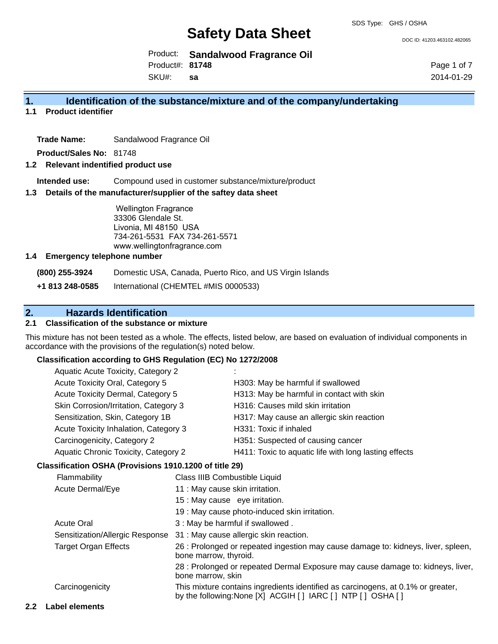DOC ID: 41203.463102.482065

Product: **Sandalwood Fragrance Oil** Product#: **81748**

SKU#: **sa** Page 1 of 7 2014-01-29

#### **1. Identification of the substance/mixture and of the company/undertaking**

**1.1 Product identifier**

**Trade Name:** Sandalwood Fragrance Oil

**Product/Sales No:** 81748

#### **1.2 Relevant indentified product use**

**Intended use:** Compound used in customer substance/mixture/product

#### **1.3 Details of the manufacturer/supplier of the saftey data sheet**

Wellington Fragrance 33306 Glendale St. Livonia, MI 48150 USA 734-261-5531 FAX 734-261-5571 www.wellingtonfragrance.com

#### **1.4 Emergency telephone number**

**(800) 255-3924** Domestic USA, Canada, Puerto Rico, and US Virgin Islands

**+1 813 248-0585** International (CHEMTEL #MIS 0000533)

### **2. Hazards Identification**

#### **2.1 Classification of the substance or mixture**

This mixture has not been tested as a whole. The effects, listed below, are based on evaluation of individual components in accordance with the provisions of the regulation(s) noted below.

#### **Classification according to GHS Regulation (EC) No 1272/2008**

| Aquatic Acute Toxicity, Category 2          |                                                       |
|---------------------------------------------|-------------------------------------------------------|
| Acute Toxicity Oral, Category 5             | H303: May be harmful if swallowed                     |
| Acute Toxicity Dermal, Category 5           | H313: May be harmful in contact with skin             |
| Skin Corrosion/Irritation, Category 3       | H316: Causes mild skin irritation                     |
| Sensitization, Skin, Category 1B            | H317: May cause an allergic skin reaction             |
| Acute Toxicity Inhalation, Category 3       | H331: Toxic if inhaled                                |
| Carcinogenicity, Category 2                 | H351: Suspected of causing cancer                     |
| <b>Aquatic Chronic Toxicity, Category 2</b> | H411: Toxic to aquatic life with long lasting effects |
|                                             |                                                       |

#### **Classification OSHA (Provisions 1910.1200 of title 29)**

| Flammability                    | Class IIIB Combustible Liquid                                                                                                                      |
|---------------------------------|----------------------------------------------------------------------------------------------------------------------------------------------------|
| Acute Dermal/Eye                | 11 : May cause skin irritation.                                                                                                                    |
|                                 | 15 : May cause eye irritation.                                                                                                                     |
|                                 | 19 : May cause photo-induced skin irritation.                                                                                                      |
| <b>Acute Oral</b>               | 3 : May be harmful if swallowed.                                                                                                                   |
| Sensitization/Allergic Response | 31 : May cause allergic skin reaction.                                                                                                             |
| <b>Target Organ Effects</b>     | 26 : Prolonged or repeated ingestion may cause damage to: kidneys, liver, spleen,<br>bone marrow, thyroid.                                         |
|                                 | 28 : Prolonged or repeated Dermal Exposure may cause damage to: kidneys, liver,<br>bone marrow, skin                                               |
| Carcinogenicity                 | This mixture contains ingredients identified as carcinogens, at 0.1% or greater,<br>by the following: None [X] ACGIH [ ] IARC [ ] NTP [ ] OSHA [ ] |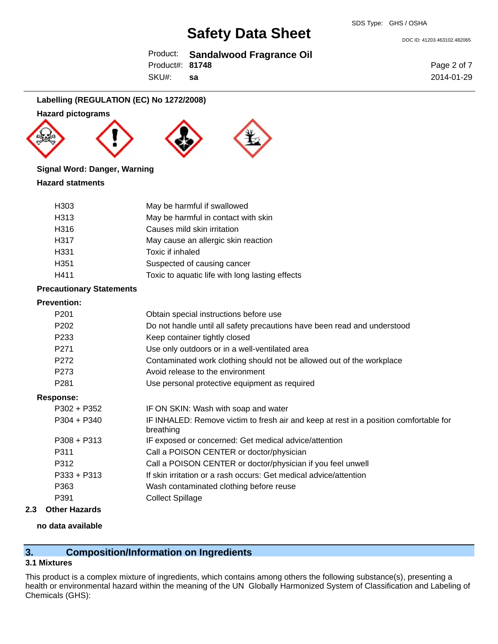DOC ID: 41203.463102.482065

|                 | Product: Sandalwood Fragrance Oil |
|-----------------|-----------------------------------|
| Product#: 81748 |                                   |

SKU#: **sa** Page 2 of 7 2014-01-29

#### **Labelling (REGULATION (EC) No 1272/2008)**

#### **Hazard pictograms**







#### **Signal Word: Danger, Warning**

#### **Hazard statments**

| H <sub>303</sub> | May be harmful if swallowed                     |
|------------------|-------------------------------------------------|
| H313             | May be harmful in contact with skin             |
| H316             | Causes mild skin irritation                     |
| H317             | May cause an allergic skin reaction             |
| H331             | Toxic if inhaled                                |
| H351             | Suspected of causing cancer                     |
| H411             | Toxic to aquatic life with long lasting effects |

#### **Precautionary Statements**

#### **Prevention:**

| P <sub>201</sub> | Obtain special instructions before use                                                             |
|------------------|----------------------------------------------------------------------------------------------------|
| P <sub>202</sub> | Do not handle until all safety precautions have been read and understood                           |
| P233             | Keep container tightly closed                                                                      |
| P <sub>271</sub> | Use only outdoors or in a well-ventilated area                                                     |
| P272             | Contaminated work clothing should not be allowed out of the workplace                              |
| P273             | Avoid release to the environment                                                                   |
| P <sub>281</sub> | Use personal protective equipment as required                                                      |
| Response:        |                                                                                                    |
| $P302 + P352$    | IF ON SKIN: Wash with soap and water                                                               |
| $P304 + P340$    | IF INHALED: Remove victim to fresh air and keep at rest in a position comfortable for<br>breathing |
| $P308 + P313$    | IF exposed or concerned: Get medical advice/attention                                              |
| P311             | Call a POISON CENTER or doctor/physician                                                           |
| P312             | Call a POISON CENTER or doctor/physician if you feel unwell                                        |
| $P333 + P313$    | If skin irritation or a rash occurs: Get medical advice/attention                                  |
| P363             | Wash contaminated clothing before reuse                                                            |
| P391             | <b>Collect Spillage</b>                                                                            |
|                  |                                                                                                    |

#### **2.3 Other Hazards**

#### **no data available**

#### **3. Composition/Information on Ingredients**

#### **3.1 Mixtures**

This product is a complex mixture of ingredients, which contains among others the following substance(s), presenting a health or environmental hazard within the meaning of the UN Globally Harmonized System of Classification and Labeling of Chemicals (GHS):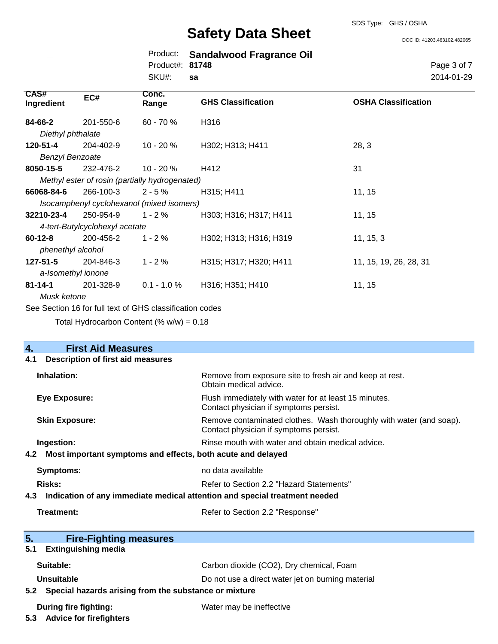DOC ID: 41203.463102.482065

|                 | Product: Sandalwood Fragrance Oil |
|-----------------|-----------------------------------|
| Product#: 81748 |                                   |
| SKU#: sa        |                                   |

Page 3 of 7 2014-01-29

| CAS#<br>Ingredient                                       | EC#                            | Conc.<br>Range                                 | <b>GHS Classification</b> | <b>OSHA Classification</b> |
|----------------------------------------------------------|--------------------------------|------------------------------------------------|---------------------------|----------------------------|
| 84-66-2                                                  | 201-550-6                      | $60 - 70 \%$                                   | H316                      |                            |
| Diethyl phthalate                                        |                                |                                                |                           |                            |
| 120-51-4                                                 | 204-402-9                      | $10 - 20%$                                     | H302; H313; H411          | 28, 3                      |
| <b>Benzyl Benzoate</b>                                   |                                |                                                |                           |                            |
| 8050-15-5                                                | 232-476-2                      | 10 - 20 %                                      | H412                      | 31                         |
|                                                          |                                | Methyl ester of rosin (partially hydrogenated) |                           |                            |
| 66068-84-6                                               | 266-100-3                      | $2 - 5%$                                       | H315; H411                | 11, 15                     |
|                                                          |                                | Isocamphenyl cyclohexanol (mixed isomers)      |                           |                            |
| 32210-23-4                                               | 250-954-9                      | $1 - 2%$                                       | H303; H316; H317; H411    | 11, 15                     |
|                                                          | 4-tert-Butylcyclohexyl acetate |                                                |                           |                            |
| $60 - 12 - 8$                                            | 200-456-2                      | $1 - 2 \%$                                     | H302; H313; H316; H319    | 11, 15, 3                  |
| phenethyl alcohol                                        |                                |                                                |                           |                            |
| $127 - 51 - 5$                                           | 204-846-3                      | $1 - 2%$                                       | H315; H317; H320; H411    | 11, 15, 19, 26, 28, 31     |
| a-Isomethyl ionone                                       |                                |                                                |                           |                            |
| 81-14-1                                                  | 201-328-9                      | $0.1 - 1.0 \%$                                 | H316; H351; H410          | 11, 15                     |
| Musk ketone                                              |                                |                                                |                           |                            |
| See Section 16 for full text of GHS classification codes |                                |                                                |                           |                            |

Total Hydrocarbon Content  $(% \mathcal{O}_{N})$  = 0.18

| $\overline{4}$ .<br><b>First Aid Measures</b>                                     |                                                                                                               |  |  |  |
|-----------------------------------------------------------------------------------|---------------------------------------------------------------------------------------------------------------|--|--|--|
| <b>Description of first aid measures</b><br>4.1                                   |                                                                                                               |  |  |  |
| Inhalation:                                                                       | Remove from exposure site to fresh air and keep at rest.<br>Obtain medical advice.                            |  |  |  |
| <b>Eye Exposure:</b>                                                              | Flush immediately with water for at least 15 minutes.<br>Contact physician if symptoms persist.               |  |  |  |
| <b>Skin Exposure:</b>                                                             | Remove contaminated clothes. Wash thoroughly with water (and soap).<br>Contact physician if symptoms persist. |  |  |  |
| Ingestion:                                                                        | Rinse mouth with water and obtain medical advice.                                                             |  |  |  |
| Most important symptoms and effects, both acute and delayed<br>4.2                |                                                                                                               |  |  |  |
| <b>Symptoms:</b>                                                                  | no data available                                                                                             |  |  |  |
| Risks:                                                                            | Refer to Section 2.2 "Hazard Statements"                                                                      |  |  |  |
| Indication of any immediate medical attention and special treatment needed<br>4.3 |                                                                                                               |  |  |  |
| Treatment:                                                                        | Refer to Section 2.2 "Response"                                                                               |  |  |  |
| 5.<br><b>Fire-Fighting measures</b>                                               |                                                                                                               |  |  |  |
| <b>Extinguishing media</b><br>5.1                                                 |                                                                                                               |  |  |  |
| Suitable:                                                                         | Carbon dioxide (CO2), Dry chemical, Foam                                                                      |  |  |  |
| Unsuitable                                                                        | Do not use a direct water jet on burning material                                                             |  |  |  |
| Special hazards arising from the substance or mixture<br>5.2                      |                                                                                                               |  |  |  |
| <b>During fire fighting:</b><br>5.3 Advice for firefighters                       | Water may be ineffective                                                                                      |  |  |  |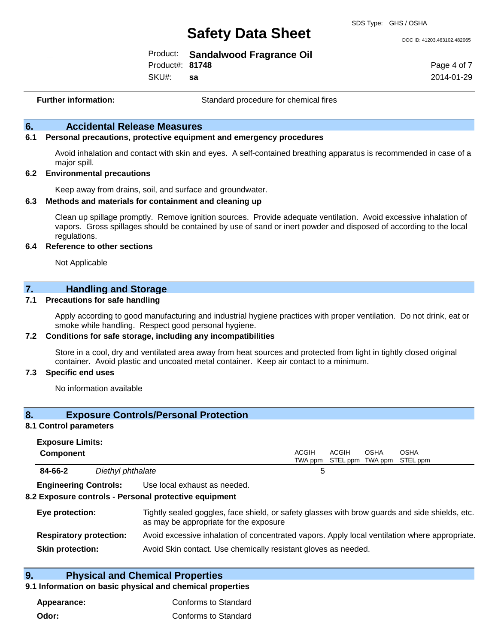DOC ID: 41203.463102.482065

|                 | Product: Sandalwood Fragrance Oil |
|-----------------|-----------------------------------|
| Product#: 81748 |                                   |

SKU#: **sa** Page 4 of 7 2014-01-29

**Further information:** Standard procedure for chemical fires

#### **6. Accidental Release Measures**

#### **6.1 Personal precautions, protective equipment and emergency procedures**

Avoid inhalation and contact with skin and eyes. A self-contained breathing apparatus is recommended in case of a major spill.

#### **6.2 Environmental precautions**

Keep away from drains, soil, and surface and groundwater.

#### **6.3 Methods and materials for containment and cleaning up**

Clean up spillage promptly. Remove ignition sources. Provide adequate ventilation. Avoid excessive inhalation of vapors. Gross spillages should be contained by use of sand or inert powder and disposed of according to the local regulations.

#### **6.4 Reference to other sections**

Not Applicable

#### **7. Handling and Storage**

#### **7.1 Precautions for safe handling**

Apply according to good manufacturing and industrial hygiene practices with proper ventilation. Do not drink, eat or smoke while handling. Respect good personal hygiene.

#### **7.2 Conditions for safe storage, including any incompatibilities**

Store in a cool, dry and ventilated area away from heat sources and protected from light in tightly closed original container. Avoid plastic and uncoated metal container. Keep air contact to a minimum.

#### **7.3 Specific end uses**

No information available

#### **8. Exposure Controls/Personal Protection**

#### **8.1 Control parameters**

| <b>Exposure Limits:</b>      |                   |                              |              |       |      |                                           |  |
|------------------------------|-------------------|------------------------------|--------------|-------|------|-------------------------------------------|--|
| <b>Component</b>             |                   |                              | <b>ACGIH</b> | ACGIH | OSHA | OSHA<br>TWA ppm STEL ppm TWA ppm STEL ppm |  |
| 84-66-2                      | Diethyl phthalate |                              | 5            |       |      |                                           |  |
| <b>Engineering Controls:</b> |                   | Use local exhaust as needed. |              |       |      |                                           |  |

#### **8.2 Exposure controls - Personal protective equipment**

| Eye protection:                | Tightly sealed goggles, face shield, or safety glasses with brow guards and side shields, etc.<br>as may be appropriate for the exposure |
|--------------------------------|------------------------------------------------------------------------------------------------------------------------------------------|
| <b>Respiratory protection:</b> | Avoid excessive inhalation of concentrated vapors. Apply local ventilation where appropriate.                                            |
| <b>Skin protection:</b>        | Avoid Skin contact. Use chemically resistant gloves as needed.                                                                           |

#### **9. Physical and Chemical Properties**

#### **9.1 Information on basic physical and chemical properties**

| Appearance: | Conforms to Standard |
|-------------|----------------------|
| Odor:       | Conforms to Standard |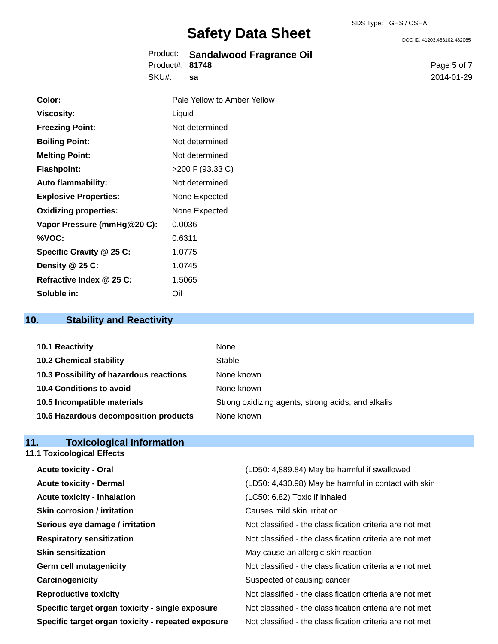|                 | Product: Sandalwood Fragrance Oil |
|-----------------|-----------------------------------|
| Product#: 81748 |                                   |
| SKU#:           | -sa                               |

DOC ID: 41203.463102.482065

Page 5 of 7 2014-01-29

| Color:                       | Pale Yellow to Amber Yellow |
|------------------------------|-----------------------------|
| <b>Viscosity:</b>            | Liquid                      |
| <b>Freezing Point:</b>       | Not determined              |
| <b>Boiling Point:</b>        | Not determined              |
| <b>Melting Point:</b>        | Not determined              |
| <b>Flashpoint:</b>           | >200 F (93.33 C)            |
| <b>Auto flammability:</b>    | Not determined              |
| <b>Explosive Properties:</b> | None Expected               |
| <b>Oxidizing properties:</b> | None Expected               |
| Vapor Pressure (mmHg@20 C):  | 0.0036                      |
| %VOC:                        | 0.6311                      |
| Specific Gravity @ 25 C:     | 1.0775                      |
| Density @ 25 C:              | 1.0745                      |
| Refractive Index @ 25 C:     | 1.5065                      |
| Soluble in:                  | Oil                         |

## **10. Stability and Reactivity**

| 10.1 Reactivity                         | None                                               |
|-----------------------------------------|----------------------------------------------------|
| <b>10.2 Chemical stability</b>          | Stable                                             |
| 10.3 Possibility of hazardous reactions | None known                                         |
| 10.4 Conditions to avoid                | None known                                         |
| 10.5 Incompatible materials             | Strong oxidizing agents, strong acids, and alkalis |
| 10.6 Hazardous decomposition products   | None known                                         |

#### **11. Toxicological Information**

| <b>11.1 Toxicological Effects</b>                  |                                                          |
|----------------------------------------------------|----------------------------------------------------------|
| <b>Acute toxicity - Oral</b>                       | (LD50: 4,889.84) May be harmful if swallowed             |
| <b>Acute toxicity - Dermal</b>                     | (LD50: 4,430.98) May be harmful in contact with skin     |
| <b>Acute toxicity - Inhalation</b>                 | (LC50: 6.82) Toxic if inhaled                            |
| <b>Skin corrosion / irritation</b>                 | Causes mild skin irritation                              |
| Serious eye damage / irritation                    | Not classified - the classification criteria are not met |
| <b>Respiratory sensitization</b>                   | Not classified - the classification criteria are not met |
| <b>Skin sensitization</b>                          | May cause an allergic skin reaction                      |
| <b>Germ cell mutagenicity</b>                      | Not classified - the classification criteria are not met |
| Carcinogenicity                                    | Suspected of causing cancer                              |
| <b>Reproductive toxicity</b>                       | Not classified - the classification criteria are not met |
| Specific target organ toxicity - single exposure   | Not classified - the classification criteria are not met |
| Specific target organ toxicity - repeated exposure | Not classified - the classification criteria are not met |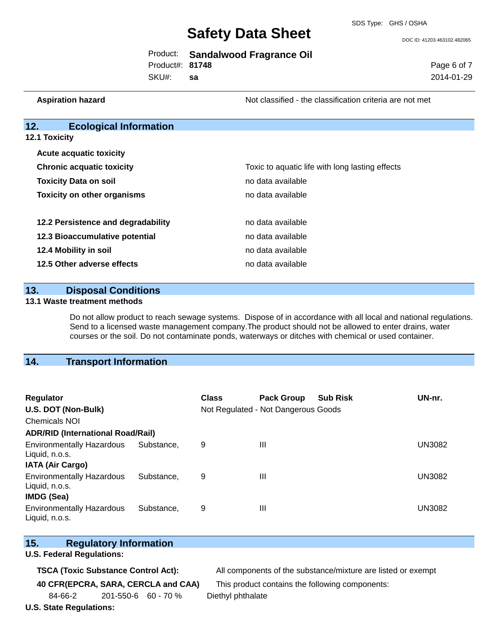DOC ID: 41203.463102.482065

|                 | Product: Sandalwood Fragrance Oil |
|-----------------|-----------------------------------|
| Product#: 81748 |                                   |

SKU#: **sa** Page 6 of 7 2014-01-29

**Aspiration hazard Not classified - the classification criteria are not met** Not classified - the classification criteria are not met

### **12. Ecological Information**

| 12.1 Toxicity |  |  |
|---------------|--|--|
|---------------|--|--|

| <b>Acute acquatic toxicity</b>     |                                                 |  |  |
|------------------------------------|-------------------------------------------------|--|--|
| <b>Chronic acquatic toxicity</b>   | Toxic to aquatic life with long lasting effects |  |  |
| <b>Toxicity Data on soil</b>       | no data available                               |  |  |
| <b>Toxicity on other organisms</b> | no data available                               |  |  |
|                                    |                                                 |  |  |
| 12.2 Persistence and degradability | no data available                               |  |  |
| 12.3 Bioaccumulative potential     | no data available                               |  |  |
| 12.4 Mobility in soil              | no data available                               |  |  |
| 12.5 Other adverse effects         | no data available                               |  |  |

#### **13. Disposal Conditions**

#### **13.1 Waste treatment methods**

Do not allow product to reach sewage systems. Dispose of in accordance with all local and national regulations. Send to a licensed waste management company.The product should not be allowed to enter drains, water courses or the soil. Do not contaminate ponds, waterways or ditches with chemical or used container.

#### **14. Transport Information**

| <b>Regulator</b>                                                        |            | <b>Class</b> | <b>Pack Group</b>                   | <b>Sub Risk</b> | UN-nr.        |
|-------------------------------------------------------------------------|------------|--------------|-------------------------------------|-----------------|---------------|
| U.S. DOT (Non-Bulk)                                                     |            |              | Not Regulated - Not Dangerous Goods |                 |               |
| <b>Chemicals NOI</b>                                                    |            |              |                                     |                 |               |
| <b>ADR/RID (International Road/Rail)</b>                                |            |              |                                     |                 |               |
| <b>Environmentally Hazardous</b><br>Liquid, n.o.s.                      | Substance. | 9            | Ш                                   |                 | <b>UN3082</b> |
| <b>IATA (Air Cargo)</b>                                                 |            |              |                                     |                 |               |
| <b>Environmentally Hazardous</b><br>Liquid, n.o.s.<br><b>IMDG (Sea)</b> | Substance. | 9            | Ш                                   |                 | UN3082        |
| <b>Environmentally Hazardous</b><br>Liquid, n.o.s.                      | Substance. | 9            | Ш                                   |                 | UN3082        |

#### **15. Regulatory Information**

#### **U.S. Federal Regulations:**

**TSCA (Toxic Substance Control Act):** All components of the substance/mixture are listed or exempt

84-66-2 201-550-6 60 - 70 % Diethyl phthalate

**U.S. State Regulations:**

**40 CFR(EPCRA, SARA, CERCLA and CAA)** This product contains the following components: